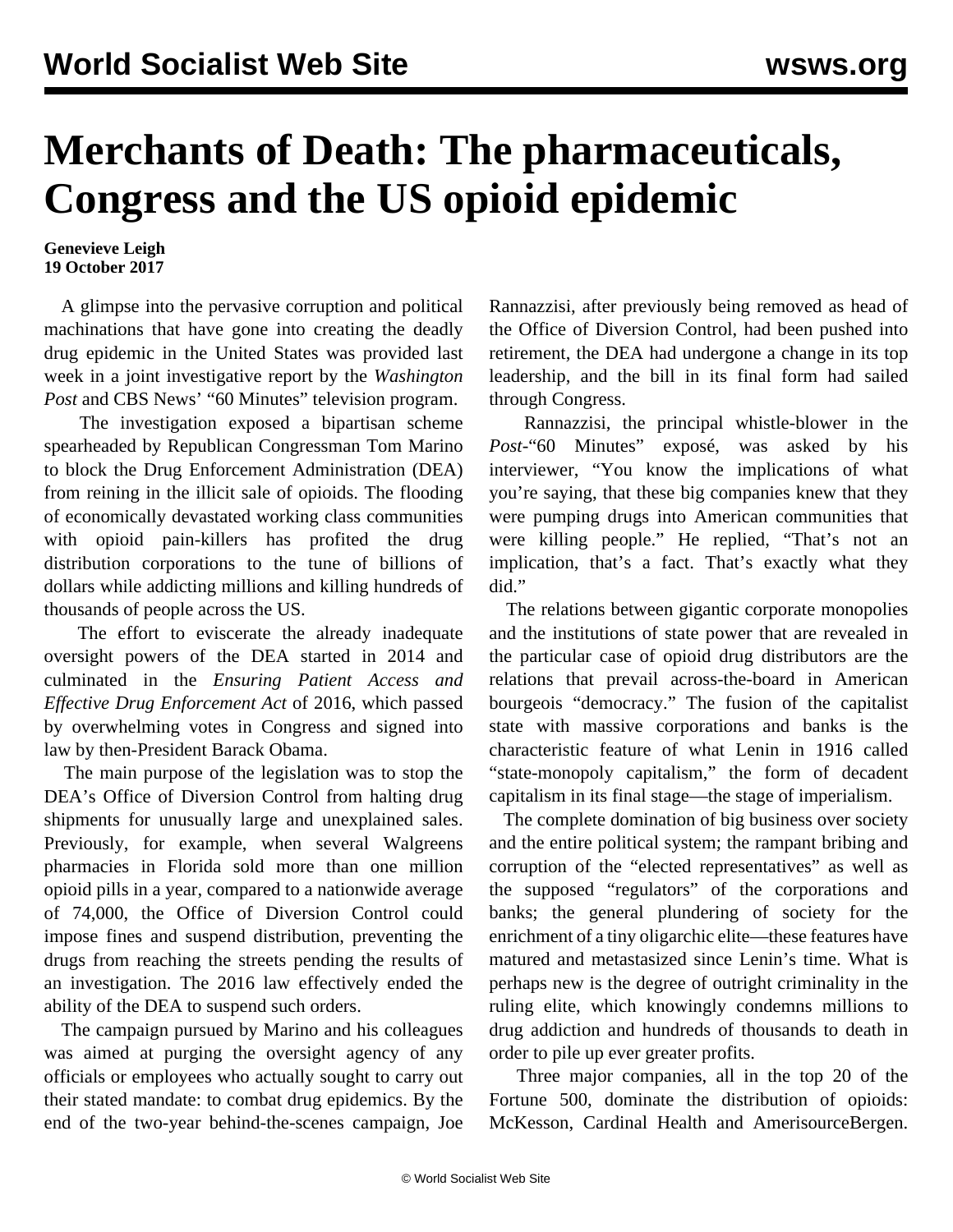## **Merchants of Death: The pharmaceuticals, Congress and the US opioid epidemic**

## **Genevieve Leigh 19 October 2017**

 A glimpse into the pervasive corruption and political machinations that have gone into creating the deadly drug epidemic in the United States was provided last week in a joint investigative report by the *Washington Post* and CBS News' "60 Minutes" television program.

 The investigation exposed a bipartisan scheme spearheaded by Republican Congressman Tom Marino to block the Drug Enforcement Administration (DEA) from reining in the illicit sale of opioids. The flooding of economically devastated working class communities with opioid pain-killers has profited the drug distribution corporations to the tune of billions of dollars while addicting millions and killing hundreds of thousands of people across the US.

 The effort to eviscerate the already inadequate oversight powers of the DEA started in 2014 and culminated in the *Ensuring Patient Access and Effective Drug Enforcement Act* of 2016, which passed by overwhelming votes in Congress and signed into law by then-President Barack Obama.

 The main purpose of the legislation was to stop the DEA's Office of Diversion Control from halting drug shipments for unusually large and unexplained sales. Previously, for example, when several Walgreens pharmacies in Florida sold more than one million opioid pills in a year, compared to a nationwide average of 74,000, the Office of Diversion Control could impose fines and suspend distribution, preventing the drugs from reaching the streets pending the results of an investigation. The 2016 law effectively ended the ability of the DEA to suspend such orders.

 The campaign pursued by Marino and his colleagues was aimed at purging the oversight agency of any officials or employees who actually sought to carry out their stated mandate: to combat drug epidemics. By the end of the two-year behind-the-scenes campaign, Joe Rannazzisi, after previously being removed as head of the Office of Diversion Control, had been pushed into retirement, the DEA had undergone a change in its top leadership, and the bill in its final form had sailed through Congress.

 Rannazzisi, the principal whistle-blower in the *Post-*"60 Minutes" exposé, was asked by his interviewer, "You know the implications of what you're saying, that these big companies knew that they were pumping drugs into American communities that were killing people." He replied, "That's not an implication, that's a fact. That's exactly what they did."

 The relations between gigantic corporate monopolies and the institutions of state power that are revealed in the particular case of opioid drug distributors are the relations that prevail across-the-board in American bourgeois "democracy." The fusion of the capitalist state with massive corporations and banks is the characteristic feature of what Lenin in 1916 called "state-monopoly capitalism," the form of decadent capitalism in its final stage—the stage of imperialism.

 The complete domination of big business over society and the entire political system; the rampant bribing and corruption of the "elected representatives" as well as the supposed "regulators" of the corporations and banks; the general plundering of society for the enrichment of a tiny oligarchic elite—these features have matured and metastasized since Lenin's time. What is perhaps new is the degree of outright criminality in the ruling elite, which knowingly condemns millions to drug addiction and hundreds of thousands to death in order to pile up ever greater profits.

 Three major companies, all in the top 20 of the Fortune 500, dominate the distribution of opioids: McKesson, Cardinal Health and AmerisourceBergen.